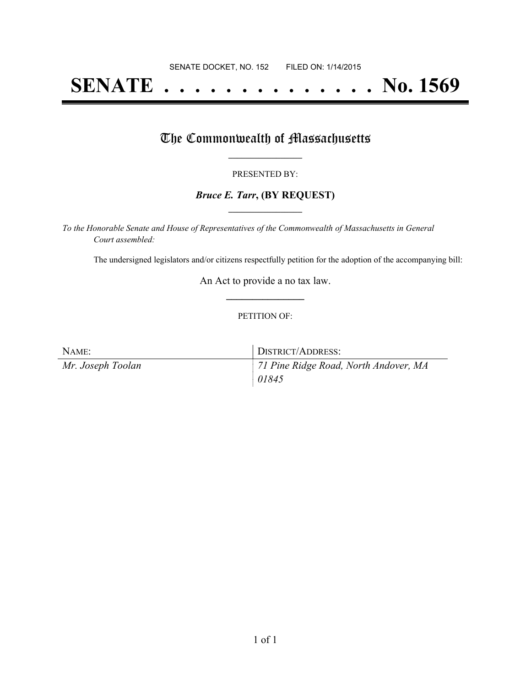# **SENATE . . . . . . . . . . . . . . No. 1569**

### The Commonwealth of Massachusetts

#### PRESENTED BY:

#### *Bruce E. Tarr***, (BY REQUEST) \_\_\_\_\_\_\_\_\_\_\_\_\_\_\_\_\_**

*To the Honorable Senate and House of Representatives of the Commonwealth of Massachusetts in General Court assembled:*

The undersigned legislators and/or citizens respectfully petition for the adoption of the accompanying bill:

An Act to provide a no tax law. **\_\_\_\_\_\_\_\_\_\_\_\_\_\_\_**

#### PETITION OF:

| NAME:             | DISTRICT/ADDRESS:                     |
|-------------------|---------------------------------------|
| Mr. Joseph Toolan | 71 Pine Ridge Road, North Andover, MA |
|                   | 01845                                 |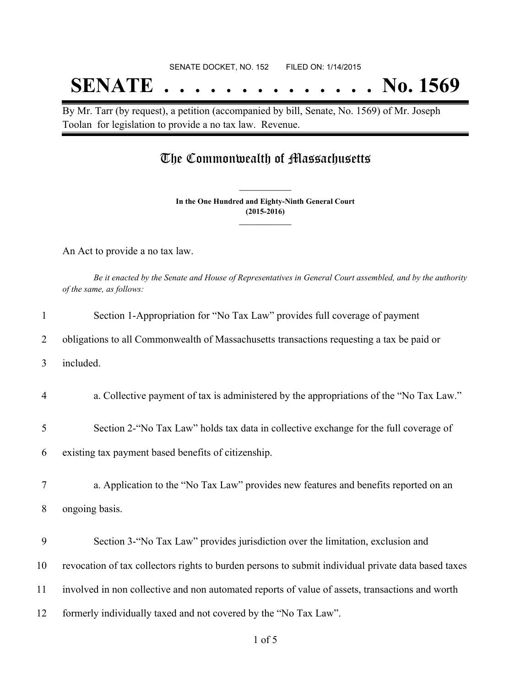## **SENATE . . . . . . . . . . . . . . No. 1569**

By Mr. Tarr (by request), a petition (accompanied by bill, Senate, No. 1569) of Mr. Joseph Toolan for legislation to provide a no tax law. Revenue.

### The Commonwealth of Massachusetts

**In the One Hundred and Eighty-Ninth General Court (2015-2016) \_\_\_\_\_\_\_\_\_\_\_\_\_\_\_**

**\_\_\_\_\_\_\_\_\_\_\_\_\_\_\_**

An Act to provide a no tax law.

Be it enacted by the Senate and House of Representatives in General Court assembled, and by the authority *of the same, as follows:*

| $\mathbf{1}$   | Section 1-Appropriation for "No Tax Law" provides full coverage of payment                          |
|----------------|-----------------------------------------------------------------------------------------------------|
| 2              | obligations to all Commonwealth of Massachusetts transactions requesting a tax be paid or           |
| 3              | included.                                                                                           |
| $\overline{4}$ | a. Collective payment of tax is administered by the appropriations of the "No Tax Law."             |
| 5              | Section 2- "No Tax Law" holds tax data in collective exchange for the full coverage of              |
| 6              | existing tax payment based benefits of citizenship.                                                 |
| 7              | a. Application to the "No Tax Law" provides new features and benefits reported on an                |
| 8              | ongoing basis.                                                                                      |
| 9              | Section 3-"No Tax Law" provides jurisdiction over the limitation, exclusion and                     |
| 10             | revocation of tax collectors rights to burden persons to submit individual private data based taxes |
| 11             | involved in non collective and non automated reports of value of assets, transactions and worth     |
| 12             | formerly individually taxed and not covered by the "No Tax Law".                                    |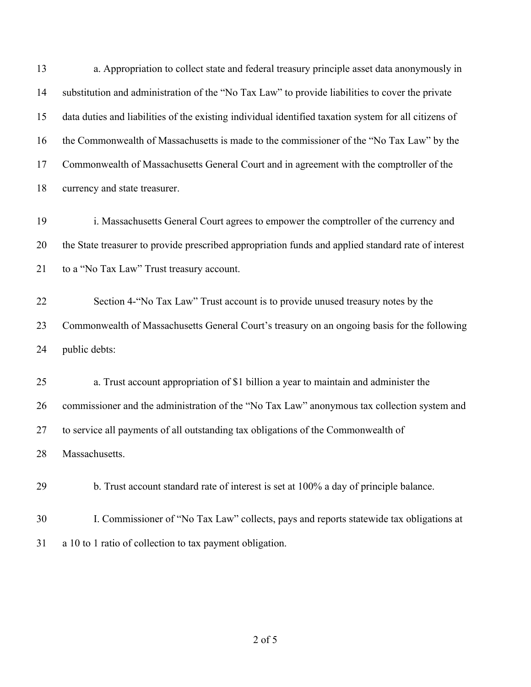a. Appropriation to collect state and federal treasury principle asset data anonymously in substitution and administration of the "No Tax Law" to provide liabilities to cover the private data duties and liabilities of the existing individual identified taxation system for all citizens of the Commonwealth of Massachusetts is made to the commissioner of the "No Tax Law" by the Commonwealth of Massachusetts General Court and in agreement with the comptroller of the currency and state treasurer.

 i. Massachusetts General Court agrees to empower the comptroller of the currency and the State treasurer to provide prescribed appropriation funds and applied standard rate of interest 21 to a "No Tax Law" Trust treasury account.

 Section 4-"No Tax Law" Trust account is to provide unused treasury notes by the Commonwealth of Massachusetts General Court's treasury on an ongoing basis for the following public debts:

 a. Trust account appropriation of \$1 billion a year to maintain and administer the commissioner and the administration of the "No Tax Law" anonymous tax collection system and to service all payments of all outstanding tax obligations of the Commonwealth of Massachusetts.

b. Trust account standard rate of interest is set at 100% a day of principle balance.

 I. Commissioner of "No Tax Law" collects, pays and reports statewide tax obligations at a 10 to 1 ratio of collection to tax payment obligation.

of 5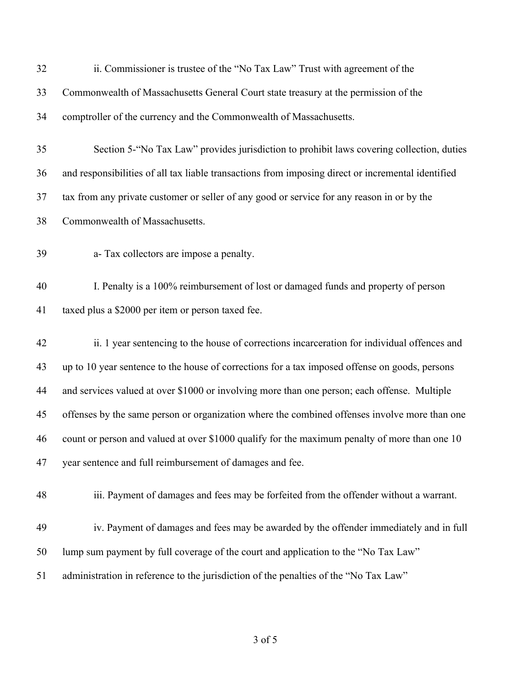| 32 | ii. Commissioner is trustee of the "No Tax Law" Trust with agreement of the                        |
|----|----------------------------------------------------------------------------------------------------|
| 33 | Commonwealth of Massachusetts General Court state treasury at the permission of the                |
| 34 | comptroller of the currency and the Commonwealth of Massachusetts.                                 |
| 35 | Section 5-"No Tax Law" provides jurisdiction to prohibit laws covering collection, duties          |
| 36 | and responsibilities of all tax liable transactions from imposing direct or incremental identified |
| 37 | tax from any private customer or seller of any good or service for any reason in or by the         |
| 38 | Commonwealth of Massachusetts.                                                                     |
| 39 | a-Tax collectors are impose a penalty.                                                             |
| 40 | I. Penalty is a 100% reimbursement of lost or damaged funds and property of person                 |
| 41 | taxed plus a \$2000 per item or person taxed fee.                                                  |
| 42 | ii. 1 year sentencing to the house of corrections incarceration for individual offences and        |
| 43 | up to 10 year sentence to the house of corrections for a tax imposed offense on goods, persons     |
| 44 | and services valued at over \$1000 or involving more than one person; each offense. Multiple       |
| 45 | offenses by the same person or organization where the combined offenses involve more than one      |
| 46 | count or person and valued at over \$1000 qualify for the maximum penalty of more than one 10      |
| 47 | year sentence and full reimbursement of damages and fee.                                           |
| 48 | iii. Payment of damages and fees may be forfeited from the offender without a warrant.             |
| 49 | iv. Payment of damages and fees may be awarded by the offender immediately and in full             |
| 50 | lump sum payment by full coverage of the court and application to the "No Tax Law"                 |
| 51 | administration in reference to the jurisdiction of the penalties of the "No Tax Law"               |
|    |                                                                                                    |

of 5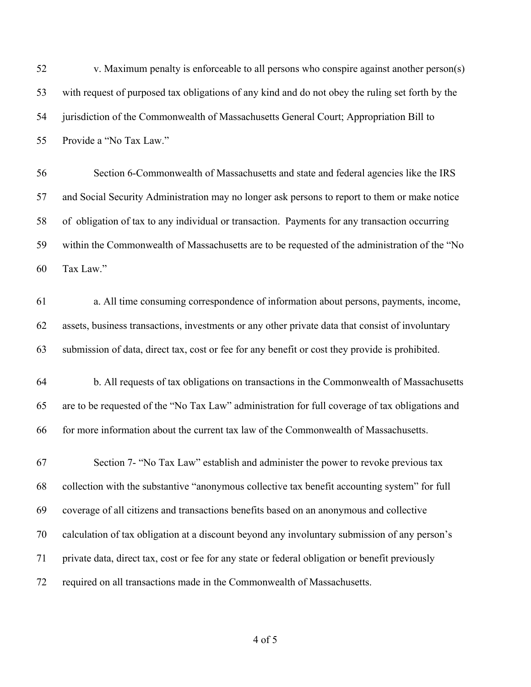v. Maximum penalty is enforceable to all persons who conspire against another person(s) with request of purposed tax obligations of any kind and do not obey the ruling set forth by the jurisdiction of the Commonwealth of Massachusetts General Court; Appropriation Bill to Provide a "No Tax Law."

 Section 6-Commonwealth of Massachusetts and state and federal agencies like the IRS and Social Security Administration may no longer ask persons to report to them or make notice of obligation of tax to any individual or transaction. Payments for any transaction occurring within the Commonwealth of Massachusetts are to be requested of the administration of the "No Tax Law."

 a. All time consuming correspondence of information about persons, payments, income, assets, business transactions, investments or any other private data that consist of involuntary submission of data, direct tax, cost or fee for any benefit or cost they provide is prohibited.

 b. All requests of tax obligations on transactions in the Commonwealth of Massachusetts are to be requested of the "No Tax Law" administration for full coverage of tax obligations and for more information about the current tax law of the Commonwealth of Massachusetts.

 Section 7- "No Tax Law" establish and administer the power to revoke previous tax collection with the substantive "anonymous collective tax benefit accounting system" for full coverage of all citizens and transactions benefits based on an anonymous and collective calculation of tax obligation at a discount beyond any involuntary submission of any person's private data, direct tax, cost or fee for any state or federal obligation or benefit previously required on all transactions made in the Commonwealth of Massachusetts.

of 5